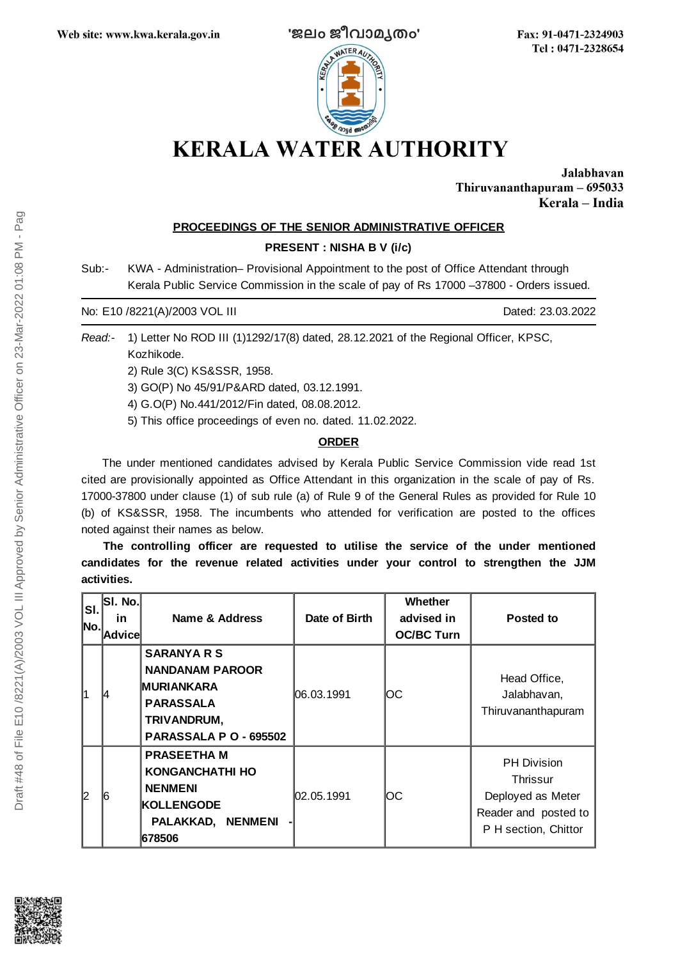

Fax: 91-0471-2324903 Tel: 0471-2328654

Jalabhavan Thiruvananthapuram - 695033 Kerala - India

## **PROCEEDINGS OF THE SENIOR ADMINISTRATIVE OFFICER**

#### **PRESENT : NISHA B V (i/c)**

Sub:- KWA - Administration– Provisional Appointment to the post of Office Attendant through Kerala Public Service Commission in the scale of pay of Rs 17000 –37800 - Orders issued.

No: E10 /8221(A)/2003 VOL III Dated: 23.03.2022

*Read:-* 1) Letter No ROD III (1)1292/17(8) dated, 28.12.2021 of the Regional Officer, KPSC, Kozhikode.

2) Rule 3(C) KS&SSR, 1958.

3) GO(P) No 45/91/P&ARD dated, 03.12.1991.

4) G.O(P) No.441/2012/Fin dated, 08.08.2012.

5) This office proceedings of even no. dated. 11.02.2022.

# **ORDER**

The under mentioned candidates advised by Kerala Public Service Commission vide read 1st cited are provisionally appointed as Office Attendant in this organization in the scale of pay of Rs. 17000-37800 under clause (1) of sub rule (a) of Rule 9 of the General Rules as provided for Rule 10 (b) of KS&SSR, 1958. The incumbents who attended for verification are posted to the offices noted against their names as below.

**The controlling officer are requested to utilise the service of the under mentioned candidates for the revenue related activities under your control to strengthen the JJM activities.**

| SI.<br>No.l    | SI. No.<br><u>in</u><br> Advice | Name & Address                                                                                                                 | Date of Birth | <b>Whether</b><br>advised in<br><b>OC/BC Turn</b> | Posted to                                                                                           |
|----------------|---------------------------------|--------------------------------------------------------------------------------------------------------------------------------|---------------|---------------------------------------------------|-----------------------------------------------------------------------------------------------------|
| 1              | 14                              | <b>SARANYA R S</b><br><b>NANDANAM PAROOR</b><br><b>MURIANKARA</b><br><b>PARASSALA</b><br>TRIVANDRUM,<br>PARASSALA P O - 695502 | 06.03.1991    | OС                                                | Head Office,<br>Jalabhavan,<br>Thiruvananthapuram                                                   |
| $\overline{c}$ | l6                              | <b>PRASEETHA M</b><br><b>KONGANCHATHI HO</b><br><b>NENMENI</b><br><b>KOLLENGODE</b><br>PALAKKAD, NENMENI<br>678506             | 02.05.1991    | ЮC                                                | <b>PH Division</b><br>Thrissur<br>Deployed as Meter<br>Reader and posted to<br>P H section, Chittor |

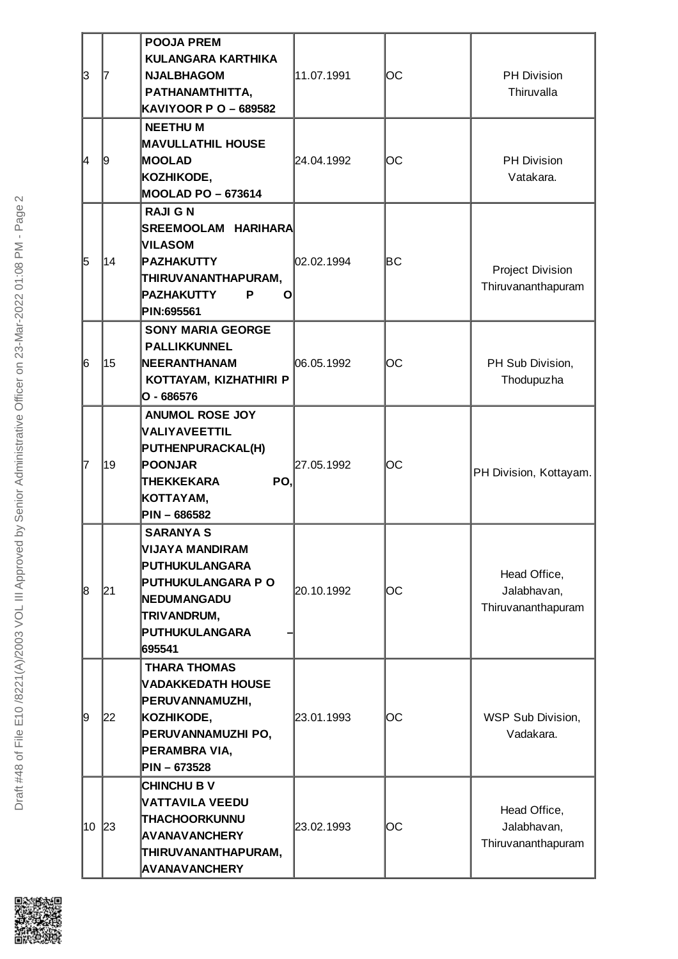| 3  | 17 | <b>POOJA PREM</b><br><b>KULANGARA KARTHIKA</b><br><b>NJALBHAGOM</b><br>PATHANAMTHITTA,<br><b>KAVIYOOR P O - 689582</b>                                            | 11.07.1991 | OС  | PH Division<br>Thiruvalla                         |
|----|----|-------------------------------------------------------------------------------------------------------------------------------------------------------------------|------------|-----|---------------------------------------------------|
| 4  | 19 | <b>NEETHUM</b><br><b>MAVULLATHIL HOUSE</b><br><b>MOOLAD</b><br>KOZHIKODE,<br><b>MOOLAD PO - 673614</b>                                                            | 24.04.1992 | OС  | <b>PH Division</b><br>Vatakara.                   |
| 5  | 14 | <b>RAJI G N</b><br>SREEMOOLAM HARIHARA<br><b>VILASOM</b><br><b>PAZHAKUTTY</b><br>THIRUVANANTHAPURAM,<br><b>PAZHAKUTTY</b><br>P<br>O<br>PIN:695561                 | 02.02.1994 | lВC | Project Division<br>Thiruvananthapuram            |
| 6  | 15 | <b>SONY MARIA GEORGE</b><br><b>PALLIKKUNNEL</b><br>NEERANTHANAM<br>KOTTAYAM, KIZHATHIRI P<br>$O - 686576$                                                         | 06.05.1992 | OС  | PH Sub Division,<br>Thodupuzha                    |
| 7  | 19 | <b>ANUMOL ROSE JOY</b><br>VALIYAVEETTIL<br><b>PUTHENPURACKAL(H)</b><br>POONJAR<br>PO,<br><b>THEKKEKARA</b><br>KOTTAYAM,<br>PIN - 686582                           | 27.05.1992 | OС  | PH Division, Kottayam.                            |
| 8  | 21 | <b>SARANYA S</b><br><b>VIJAYA MANDIRAM</b><br>PUTHUKULANGARA<br><b>PUTHUKULANGARA P O</b><br><b>NEDUMANGADU</b><br><b>TRIVANDRUM,</b><br>PUTHUKULANGARA<br>695541 | 20.10.1992 | ОC  | Head Office,<br>Jalabhavan,<br>Thiruvananthapuram |
| 9  | 22 | <b>THARA THOMAS</b><br><b>NADAKKEDATH HOUSE</b><br>PERUVANNAMUZHI,<br>KOZHIKODE,<br>PERUVANNAMUZHI PO,<br>PERAMBRA VIA,<br>PIN-673528                             | 23.01.1993 | OС  | WSP Sub Division,<br>Vadakara.                    |
| 10 | 23 | <b>CHINCHU B V</b><br>VATTAVILA VEEDU<br><b>THACHOORKUNNU</b><br><b>AVANAVANCHERY</b><br>THIRUVANANTHAPURAM,<br><b>AVANAVANCHERY</b>                              | 23.02.1993 | OС  | Head Office,<br>Jalabhavan,<br>Thiruvananthapuram |

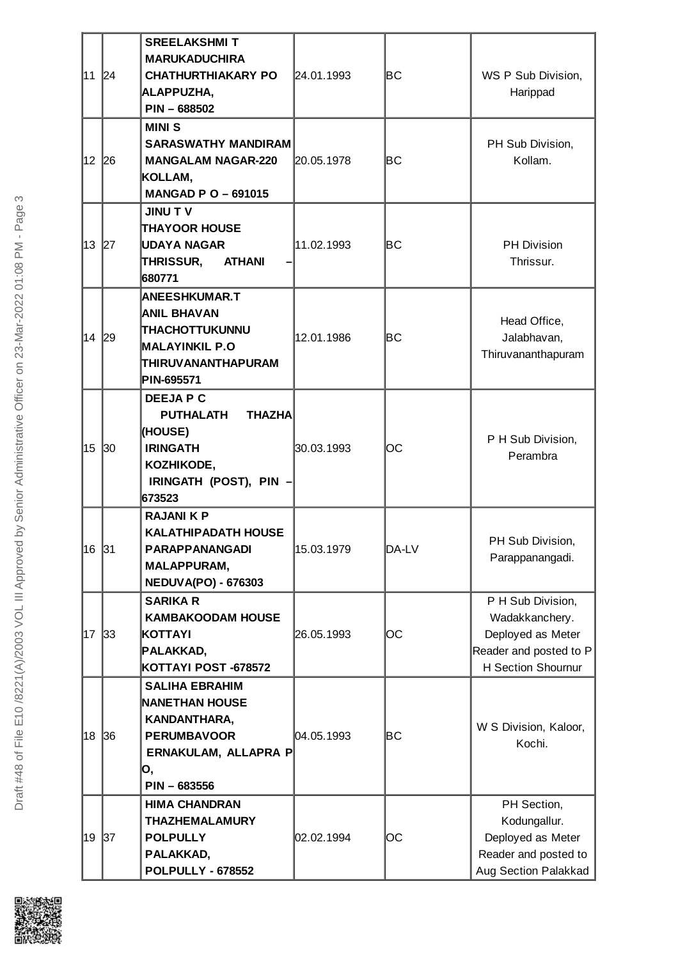|        |              | <b>SREELAKSHMIT</b>               |            |       |                             |
|--------|--------------|-----------------------------------|------------|-------|-----------------------------|
|        |              | <b>MARUKADUCHIRA</b>              |            |       |                             |
| 11 24  |              | <b>CHATHURTHIAKARY PO</b>         | 24.01.1993 | lВC   | WS P Sub Division,          |
|        |              | <b>ALAPPUZHA,</b>                 |            |       | Harippad                    |
|        |              | PIN-688502                        |            |       |                             |
|        |              |                                   |            |       |                             |
|        |              | <b>MINIS</b>                      |            |       |                             |
|        |              | <b>SARASWATHY MANDIRAM</b>        |            |       | PH Sub Division,            |
| 12     | 26           | <b>MANGALAM NAGAR-220</b>         | 20.05.1978 | lВC   | Kollam.                     |
|        |              | KOLLAM,                           |            |       |                             |
|        |              | <b>MANGAD P O - 691015</b>        |            |       |                             |
|        |              | <b>JINU TV</b>                    |            |       |                             |
|        |              | <b>THAYOOR HOUSE</b>              |            |       |                             |
| 13     | 27           | UDAYA NAGAR                       | 11.02.1993 | lВC   | <b>PH Division</b>          |
|        |              | THRISSUR,<br><b>ATHANI</b>        |            |       | Thrissur.                   |
|        |              | 680771                            |            |       |                             |
|        |              | <b>ANEESHKUMAR.T</b>              |            |       |                             |
|        |              | <b>ANIL BHAVAN</b>                |            |       |                             |
|        |              | THACHOTTUKUNNU                    | 12.01.1986 | lВC   | Head Office,<br>Jalabhavan, |
| 14  29 |              | <b>MALAYINKIL P.O</b>             |            |       |                             |
|        |              | THIRUVANANTHAPURAM                |            |       | Thiruvananthapuram          |
|        |              | PIN-695571                        |            |       |                             |
|        |              | <b>DEEJAPC</b>                    |            |       |                             |
|        |              |                                   |            |       |                             |
|        |              | <b>PUTHALATH</b><br><b>THAZHA</b> |            |       |                             |
|        |              | (HOUSE)                           |            |       | P H Sub Division,           |
| 15     | $ 30\rangle$ | <b>IRINGATH</b>                   | 30.03.1993 | ЮC    | Perambra                    |
|        |              | KOZHIKODE,                        |            |       |                             |
|        |              | IRINGATH (POST), PIN              |            |       |                             |
|        |              | 673523                            |            |       |                             |
|        |              | <b>RAJANIKP</b>                   |            |       |                             |
|        |              | <b>KALATHIPADATH HOUSE</b>        |            |       | PH Sub Division,            |
| 16 31  |              | <b>PARAPPANANGADI</b>             | 15.03.1979 | DA-LV | Parappanangadi.             |
|        |              | <b>MALAPPURAM,</b>                |            |       |                             |
|        |              | <b>NEDUVA(PO) - 676303</b>        |            |       |                             |
|        |              | <b>SARIKA R</b>                   |            |       | P H Sub Division,           |
|        |              | <b>KAMBAKOODAM HOUSE</b>          |            |       | Wadakkanchery.              |
| 17     | 33           | KOTTAYI                           | 26.05.1993 | ЮC    | Deployed as Meter           |
|        |              | PALAKKAD,                         |            |       | Reader and posted to P      |
|        |              | KOTTAYI POST -678572              |            |       | H Section Shournur          |
|        |              | <b>SALIHA EBRAHIM</b>             |            |       |                             |
|        |              | <b>NANETHAN HOUSE</b>             |            |       |                             |
|        |              | KANDANTHARA,                      |            |       |                             |
| 18     | 36           | <b>PERUMBAVOOR</b>                | 04.05.1993 | lВC   | W S Division, Kaloor,       |
|        |              | ERNAKULAM, ALLAPRA P              |            |       | Kochi.                      |
|        |              |                                   |            |       |                             |
|        |              | О,<br>PIN - 683556                |            |       |                             |
|        |              |                                   |            |       |                             |
|        |              | <b>HIMA CHANDRAN</b>              |            |       | PH Section,                 |
|        |              | <b>THAZHEMALAMURY</b>             |            |       | Kodungallur.                |
| 19     | 37           | <b>POLPULLY</b>                   | 02.02.1994 | ЮC    | Deployed as Meter           |
|        |              | PALAKKAD,                         |            |       | Reader and posted to        |
|        |              | <b>POLPULLY - 678552</b>          |            |       | Aug Section Palakkad        |

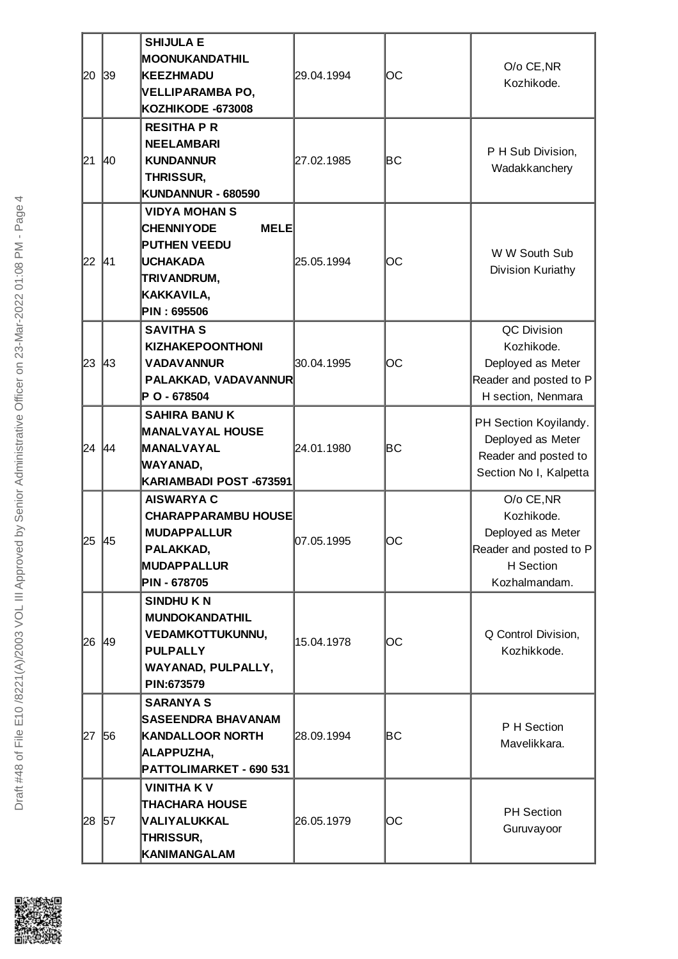|         |       | <b>SHIJULA E</b>                 |            |     |                                    |
|---------|-------|----------------------------------|------------|-----|------------------------------------|
| 20      |       | MOONUKANDATHIL                   |            |     |                                    |
|         | 39    | KEEZHMADU                        | 29.04.1994 | ЮC  | O/o CE, NR                         |
|         |       | VELLIPARAMBA PO,                 |            |     | Kozhikode.                         |
|         |       | KOZHIKODE -673008                |            |     |                                    |
|         |       |                                  |            |     |                                    |
|         |       | <b>RESITHA P R</b>               |            |     |                                    |
|         |       | <b>NEELAMBARI</b>                |            |     | P H Sub Division,                  |
| 21  40  |       | <b>KUNDANNUR</b>                 | 27.02.1985 | lВC | Wadakkanchery                      |
|         |       | <b>THRISSUR,</b>                 |            |     |                                    |
|         |       | KUNDANNUR - 680590               |            |     |                                    |
|         |       | <b>VIDYA MOHAN S</b>             |            |     |                                    |
|         |       | <b>CHENNIYODE</b><br><b>MELE</b> |            |     |                                    |
|         |       | <b>PUTHEN VEEDU</b>              |            | ЮC  | W W South Sub<br>Division Kuriathy |
| 22  41  |       | UCHAKADA                         | 25.05.1994 |     |                                    |
|         |       | TRIVANDRUM,                      |            |     |                                    |
|         |       | KAKKAVILA,                       |            |     |                                    |
|         |       | PIN : 695506                     |            |     |                                    |
|         |       | <b>SAVITHA S</b>                 |            |     | QC Division                        |
|         |       | <b>KIZHAKEPOONTHONI</b>          |            |     | Kozhikode.                         |
| 23      | 43    | <b>VADAVANNUR</b>                | 30.04.1995 | ЮC  | Deployed as Meter                  |
|         |       | PALAKKAD, VADAVANNUR             |            |     | Reader and posted to P             |
|         |       | P O - 678504                     |            |     | H section, Nenmara                 |
|         |       | <b>SAHIRA BANUK</b>              |            |     |                                    |
|         |       | <b>MANALVAYAL HOUSE</b>          |            |     | PH Section Koyilandy.              |
| 24 44   |       | MANALVAYAL                       | 24.01.1980 | lВC | Deployed as Meter                  |
|         |       | WAYANAD,                         |            |     | Reader and posted to               |
|         |       | KARIAMBADI POST -673591          |            |     | Section No I, Kalpetta             |
|         |       | <b>AISWARYA C</b>                |            |     | O/o CE, NR                         |
|         |       | <b>CHARAPPARAMBU HOUSE</b>       |            |     | Kozhikode.                         |
|         |       | <b>MUDAPPALLUR</b>               |            |     | Deployed as Meter                  |
| 25 45   |       | PALAKKAD,                        | 07.05.1995 | ЮC  | Reader and posted to $P$           |
|         |       | MUDAPPALLUR                      |            |     | H Section                          |
|         |       | PIN - 678705                     |            |     | Kozhalmandam.                      |
|         |       | <b>SINDHUKN</b>                  |            |     |                                    |
|         |       | <b>MUNDOKANDATHIL</b>            |            |     |                                    |
|         |       | <b>VEDAMKOTTUKUNNU,</b>          | 15.04.1978 |     | Q Control Division,                |
| 26 49   |       | <b>PULPALLY</b>                  |            | OС  | Kozhikkode.                        |
|         |       |                                  |            |     |                                    |
|         |       | WAYANAD, PULPALLY,<br>PIN:673579 |            |     |                                    |
|         |       |                                  |            |     |                                    |
|         |       | <b>SARANYA S</b>                 |            |     |                                    |
|         | 27 56 | <b>SASEENDRA BHAVANAM</b>        | 28.09.1994 | lВC | P H Section<br>Mavelikkara.        |
|         |       | KANDALLOOR NORTH                 |            |     |                                    |
|         |       | <b>ALAPPUZHA,</b>                |            |     |                                    |
|         |       | PATTOLIMARKET - 690 531          |            |     |                                    |
|         |       | <b>VINITHA K V</b>               |            |     |                                    |
|         |       | <b>THACHARA HOUSE</b>            |            |     | <b>PH Section</b>                  |
| 28   57 |       | VALIYALUKKAL                     | 26.05.1979 | ЮC  | Guruvayoor                         |
|         |       | THRISSUR,                        |            |     |                                    |
|         |       | KANIMANGALAM                     |            |     |                                    |

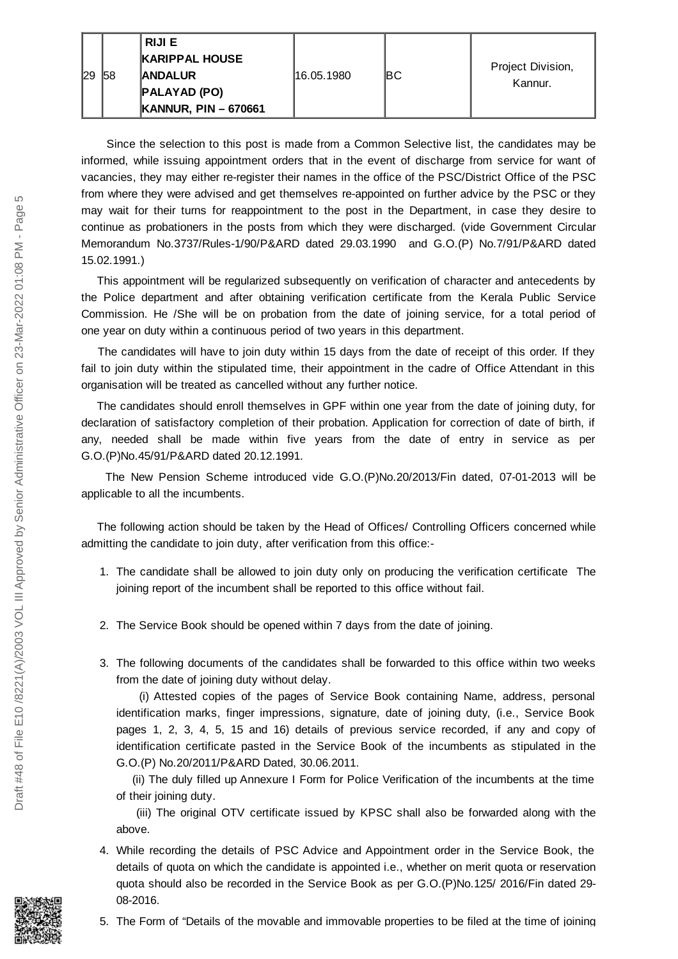|              |     | RIJI E                      |             |      |                              |
|--------------|-----|-----------------------------|-------------|------|------------------------------|
|              |     | <b>KARIPPAL HOUSE</b>       |             |      |                              |
| $ 29\rangle$ | 158 | <b>ANDALUR</b>              | 116.05.1980 | IBC. | Project Division,<br>Kannur. |
|              |     | <b>PALAYAD (PO)</b>         |             |      |                              |
|              |     | <b>KANNUR, PIN - 670661</b> |             |      |                              |

Since the selection to this post is made from a Common Selective list, the candidates may be informed, while issuing appointment orders that in the event of discharge from service for want of vacancies, they may either re-register their names in the office of the PSC/District Office of the PSC from where they were advised and get themselves re-appointed on further advice by the PSC or they may wait for their turns for reappointment to the post in the Department, in case they desire to continue as probationers in the posts from which they were discharged. (vide Government Circular Memorandum No.3737/Rules-1/90/P&ARD dated 29.03.1990 and G.O.(P) No.7/91/P&ARD dated 15.02.1991.)

This appointment will be regularized subsequently on verification of character and antecedents by the Police department and after obtaining verification certificate from the Kerala Public Service Commission. He /She will be on probation from the date of joining service, for a total period of one year on duty within a continuous period of two years in this department.

The candidates will have to join duty within 15 days from the date of receipt of this order. If they fail to join duty within the stipulated time, their appointment in the cadre of Office Attendant in this organisation will be treated as cancelled without any further notice.

The candidates should enroll themselves in GPF within one year from the date of joining duty, for declaration of satisfactory completion of their probation. Application for correction of date of birth, if any, needed shall be made within five years from the date of entry in service as per G.O.(P)No.45/91/P&ARD dated 20.12.1991.

The New Pension Scheme introduced vide G.O.(P)No.20/2013/Fin dated, 07-01-2013 will be applicable to all the incumbents.

The following action should be taken by the Head of Offices/ Controlling Officers concerned while admitting the candidate to join duty, after verification from this office:-

- 1. The candidate shall be allowed to join duty only on producing the verification certificate The joining report of the incumbent shall be reported to this office without fail.
- 2. The Service Book should be opened within 7 days from the date of joining.
- 3. The following documents of the candidates shall be forwarded to this office within two weeks from the date of joining duty without delay.

(i) Attested copies of the pages of Service Book containing Name, address, personal identification marks, finger impressions, signature, date of joining duty, (i.e., Service Book pages 1, 2, 3, 4, 5, 15 and 16) details of previous service recorded, if any and copy of identification certificate pasted in the Service Book of the incumbents as stipulated in the G.O.(P) No.20/2011/P&ARD Dated, 30.06.2011.

(ii) The duly filled up Annexure I Form for Police Verification of the incumbents at the time of their joining duty.

(iii) The original OTV certificate issued by KPSC shall also be forwarded along with the above.

- 4. While recording the details of PSC Advice and Appointment order in the Service Book, the details of quota on which the candidate is appointed i.e., whether on merit quota or reservation quota should also be recorded in the Service Book as per G.O.(P)No.125/ 2016/Fin dated 29- 08-2016.
- 5. The Form of "Details of the movable and immovable properties to be filed at the time of joining

 $\overline{5}$